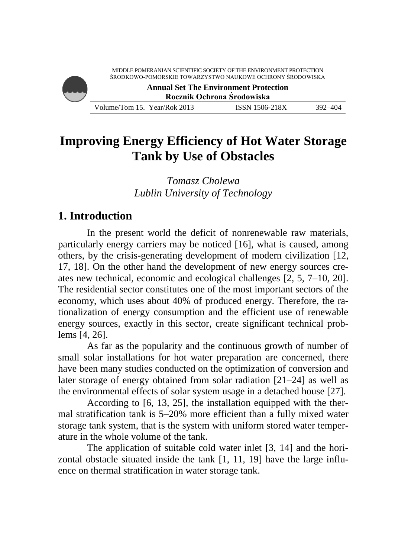ŚRODKOWO-POMORSKIE TOWARZYSTWO NAUKOWE OCHRONY ŚRODOWISKA **Annual Set The Environment Protection Rocznik Ochrona Środowiska** Volume/Tom 15. Year/Rok 2013 ISSN 1506-218X 392–404

# **Improving Energy Efficiency of Hot Water Storage Tank by Use of Obstacles**

*Tomasz Cholewa Lublin University of Technology*

### **1. Introduction**

In the present world the deficit of nonrenewable raw materials, particularly energy carriers may be noticed [16], what is caused, among others, by the crisis-generating development of modern civilization [12, 17, 18]. On the other hand the development of new energy sources creates new technical, economic and ecological challenges [2, 5, 7–10, 20]. The residential sector constitutes one of the most important sectors of the economy, which uses about 40% of produced energy. Therefore, the rationalization of energy consumption and the efficient use of renewable energy sources, exactly in this sector, create significant technical problems [4, 26].

As far as the popularity and the continuous growth of number of small solar installations for hot water preparation are concerned, there have been many studies conducted on the optimization of conversion and later storage of energy obtained from solar radiation [21–24] as well as the environmental effects of solar system usage in a detached house [27].

According to [6, 13, 25], the installation equipped with the thermal stratification tank is 5–20% more efficient than a fully mixed water storage tank system, that is the system with uniform stored water temperature in the whole volume of the tank.

The application of suitable cold water inlet [3, 14] and the horizontal obstacle situated inside the tank [1, 11, 19] have the large influence on thermal stratification in water storage tank.

MIDDLE POMERANIAN SCIENTIFIC SOCIETY OF THE ENVIRONMENT PROTECTION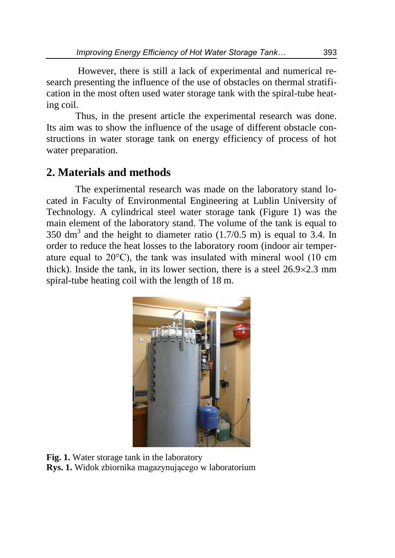However, there is still a lack of experimental and numerical research presenting the influence of the use of obstacles on thermal stratification in the most often used water storage tank with the spiral-tube heating coil.

Thus, in the present article the experimental research was done. Its aim was to show the influence of the usage of different obstacle constructions in water storage tank on energy efficiency of process of hot water preparation.

## **2. Materials and methods**

The experimental research was made on the laboratory stand located in Faculty of Environmental Engineering at Lublin University of Technology. A cylindrical steel water storage tank (Figure 1) was the main element of the laboratory stand. The volume of the tank is equal to 350 dm<sup>3</sup> and the height to diameter ratio  $(1.7/0.5 \text{ m})$  is equal to 3.4. In order to reduce the heat losses to the laboratory room (indoor air temperature equal to 20°C), the tank was insulated with mineral wool (10 cm thick). Inside the tank, in its lower section, there is a steel  $26.9 \times 2.3$  mm spiral-tube heating coil with the length of 18 m.



**Fig. 1.** Water storage tank in the laboratory **Rys. 1.** Widok zbiornika magazynującego w laboratorium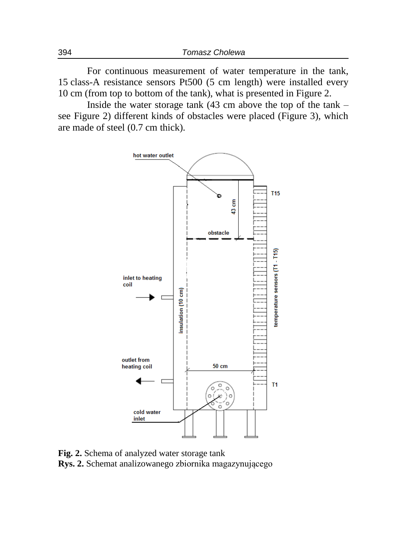For continuous measurement of water temperature in the tank, 15 class-A resistance sensors Pt500 (5 cm length) were installed every 10 cm (from top to bottom of the tank), what is presented in Figure 2.

Inside the water storage tank (43 cm above the top of the tank – see Figure 2) different kinds of obstacles were placed (Figure 3), which are made of steel (0.7 cm thick).



**Fig. 2.** Schema of analyzed water storage tank **Rys. 2.** Schemat analizowanego zbiornika magazynującego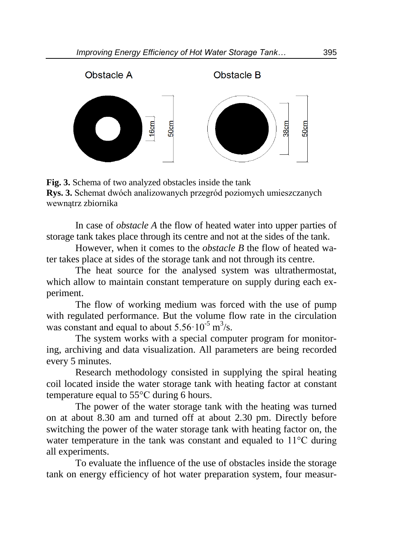

**Fig. 3.** Schema of two analyzed obstacles inside the tank **Rys. 3.** Schemat dwóch analizowanych przegród poziomych umieszczanych wewnątrz zbiornika

In case of *obstacle A* the flow of heated water into upper parties of storage tank takes place through its centre and not at the sides of the tank.

However, when it comes to the *obstacle B* the flow of heated water takes place at sides of the storage tank and not through its centre.

The heat source for the analysed system was ultrathermostat, which allow to maintain constant temperature on supply during each experiment.

The flow of working medium was forced with the use of pump with regulated performance. But the volume flow rate in the circulation was constant and equal to about  $5.56 \cdot 10^{-5}$  m<sup>3</sup>/s.

The system works with a special computer program for monitoring, archiving and data visualization. All parameters are being recorded every 5 minutes.

Research methodology consisted in supplying the spiral heating coil located inside the water storage tank with heating factor at constant temperature equal to 55°C during 6 hours.

The power of the water storage tank with the heating was turned on at about 8.30 am and turned off at about 2.30 pm. Directly before switching the power of the water storage tank with heating factor on, the water temperature in the tank was constant and equaled to 11°C during all experiments.

To evaluate the influence of the use of obstacles inside the storage tank on energy efficiency of hot water preparation system, four measur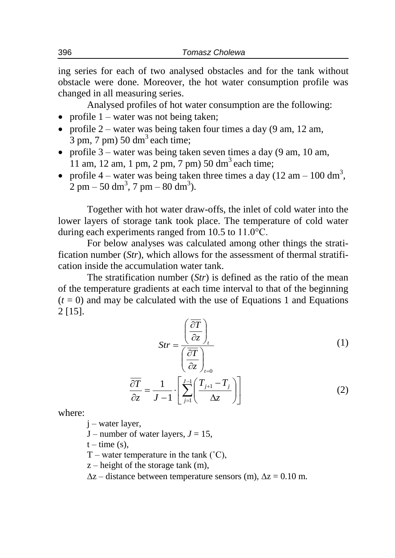ing series for each of two analysed obstacles and for the tank without obstacle were done. Moreover, the hot water consumption profile was changed in all measuring series.

Analysed profiles of hot water consumption are the following:

- profile  $1$  water was not being taken;
- profile  $2$  water was being taken four times a day (9 am, 12 am,  $\overline{3}$  pm,  $\overline{7}$  pm)  $50 \text{ dm}^3$  each time;
- profile  $3$  water was being taken seven times a day (9 am, 10 am, 11 am, 12 am, 1 pm, 2 pm, 7 pm) 50 dm<sup>3</sup> each time;
- profile 4 water was being taken three times a day (12 am 100 dm<sup>3</sup>,  $2 \text{ pm} - 50 \text{ dm}^3$ , 7 pm  $- 80 \text{ dm}^3$ ).

Together with hot water draw-offs, the inlet of cold water into the lower layers of storage tank took place. The temperature of cold water during each experiments ranged from 10.5 to 11.0°C.

For below analyses was calculated among other things the stratification number (*Str*), which allows for the assessment of thermal stratification inside the accumulation water tank.

The stratification number (*Str*) is defined as the ratio of the mean of the temperature gradients at each time interval to that of the beginning  $(t = 0)$  and may be calculated with the use of Equations 1 and Equations 2 [15].

$$
Str = \frac{\left(\frac{\partial T}{\partial z}\right)_t}{\left(\frac{\partial T}{\partial z}\right)_{t=0}}\tag{1}
$$

$$
\frac{\overline{\partial T}}{\partial z} = \frac{1}{J - 1} \cdot \left[ \sum_{j=1}^{J - 1} \left( \frac{T_{j+1} - T_j}{\Delta z} \right) \right]
$$
(2)

where:

 $i$  – water layer,

 $J$  – number of water layers,  $J = 15$ ,

 $t - time(s)$ ,

T – water temperature in the tank  $(^{\circ}C)$ ,

 $z$  – height of the storage tank (m),

 $\Delta z$  – distance between temperature sensors (m),  $\Delta z$  = 0.10 m.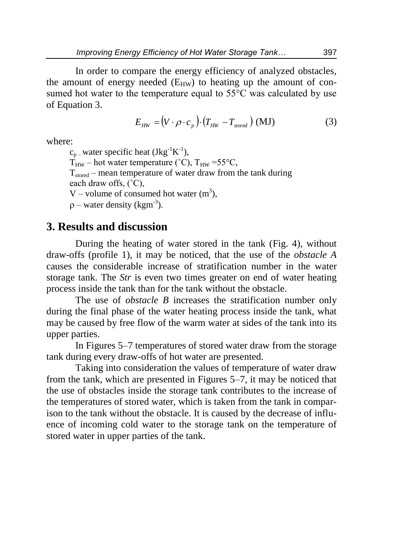In order to compare the energy efficiency of analyzed obstacles, the amount of energy needed  $(E_{HW})$  to heating up the amount of consumed hot water to the temperature equal to  $55^{\circ}$ C was calculated by use of Equation 3.

$$
E_{HW} = (V \cdot \rho \cdot c_p) \cdot (T_{HW} - T_{stored}) \text{ (MJ)}
$$
 (3)

where:

 $c_{p}$  – water specific heat (Jkg<sup>-1</sup>K<sup>-1</sup>),

 $T_{HW}$  – hot water temperature (°C),  $T_{HW}$  =55°C,

 $T<sub>stored</sub>$  – mean temperature of water draw from the tank during

each draw offs, (˚C),

V – volume of consumed hot water  $(m^3)$ ,

 $\rho$  – water density (kgm<sup>-3</sup>).

#### **3. Results and discussion**

During the heating of water stored in the tank (Fig. 4), without draw-offs (profile 1), it may be noticed, that the use of the *obstacle A* causes the considerable increase of stratification number in the water storage tank. The *Str* is even two times greater on end of water heating process inside the tank than for the tank without the obstacle.

The use of *obstacle B* increases the stratification number only during the final phase of the water heating process inside the tank, what may be caused by free flow of the warm water at sides of the tank into its upper parties.

In Figures 5–7 temperatures of stored water draw from the storage tank during every draw-offs of hot water are presented.

Taking into consideration the values of temperature of water draw from the tank, which are presented in Figures 5–7, it may be noticed that the use of obstacles inside the storage tank contributes to the increase of the temperatures of stored water, which is taken from the tank in comparison to the tank without the obstacle. It is caused by the decrease of influence of incoming cold water to the storage tank on the temperature of stored water in upper parties of the tank.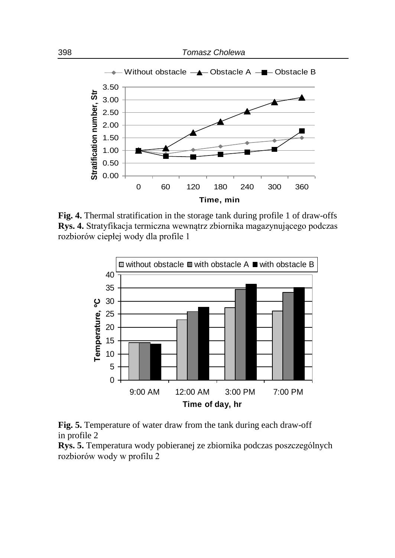

**Fig. 4.** Thermal stratification in the storage tank during profile 1 of draw-offs **Rys. 4.** Stratyfikacja termiczna wewnątrz zbiornika magazynującego podczas rozbiorów ciepłej wody dla profile 1





**Rys. 5.** Temperatura wody pobieranej ze zbiornika podczas poszczególnych rozbiorów wody w profilu 2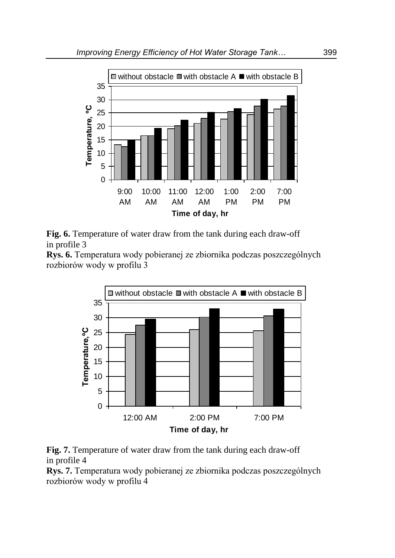



**Rys. 6.** Temperatura wody pobieranej ze zbiornika podczas poszczególnych rozbiorów wody w profilu 3





**Rys. 7.** Temperatura wody pobieranej ze zbiornika podczas poszczególnych rozbiorów wody w profilu 4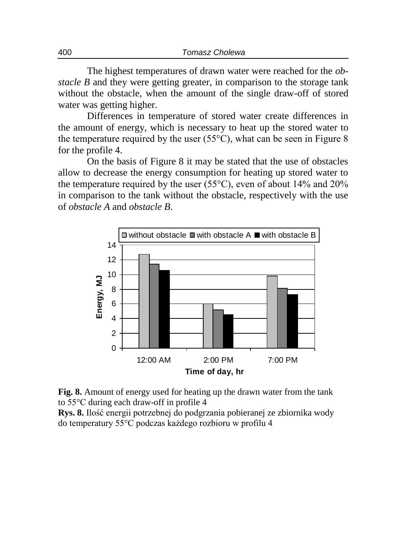The highest temperatures of drawn water were reached for the *obstacle B* and they were getting greater, in comparison to the storage tank without the obstacle, when the amount of the single draw-off of stored water was getting higher.

Differences in temperature of stored water create differences in the amount of energy, which is necessary to heat up the stored water to the temperature required by the user  $(55^{\circ}C)$ , what can be seen in Figure 8 for the profile 4.

On the basis of Figure 8 it may be stated that the use of obstacles allow to decrease the energy consumption for heating up stored water to the temperature required by the user (55 $^{\circ}$ C), even of about 14% and 20% in comparison to the tank without the obstacle, respectively with the use of *obstacle A* and *obstacle B*.





**Rys. 8.** Ilość energii potrzebnej do podgrzania pobieranej ze zbiornika wody do temperatury 55°C podczas każdego rozbioru w profilu 4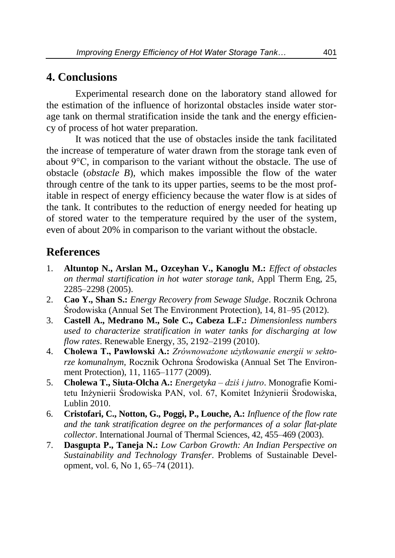#### **4. Conclusions**

Experimental research done on the laboratory stand allowed for the estimation of the influence of horizontal obstacles inside water storage tank on thermal stratification inside the tank and the energy efficiency of process of hot water preparation.

It was noticed that the use of obstacles inside the tank facilitated the increase of temperature of water drawn from the storage tank even of about 9°C, in comparison to the variant without the obstacle. The use of obstacle (*obstacle B*), which makes impossible the flow of the water through centre of the tank to its upper parties, seems to be the most profitable in respect of energy efficiency because the water flow is at sides of the tank. It contributes to the reduction of energy needed for heating up of stored water to the temperature required by the user of the system, even of about 20% in comparison to the variant without the obstacle.

### **References**

- 1. **Altuntop N., Arslan M., Ozceyhan V., Kanoglu M.:** *Effect of obstacles on thermal startification in hot water storage tank*, Appl Therm Eng, 25, 2285–2298 (2005).
- 2. **Cao Y., Shan S.:** *Energy Recovery from Sewage Sludge*. Rocznik Ochrona Środowiska (Annual Set The Environment Protection), 14, 81–95 (2012).
- 3. **Castell A., Medrano M., Sole C., Cabeza L.F.:** *Dimensionless numbers used to characterize stratification in water tanks for discharging at low flow rates*. Renewable Energy, 35, 2192–2199 (2010).
- 4. **Cholewa T., Pawłowski A.:** *Zrównoważone użytkowanie energii w sektorze komunalnym*, Rocznik Ochrona Środowiska (Annual Set The Environment Protection), 11, 1165–1177 (2009).
- 5. **Cholewa T., Siuta-Olcha A.:** *Energetyka – dziś i jutro*. Monografie Komitetu Inżynierii Środowiska PAN, vol. 67, Komitet Inżynierii Środowiska, Lublin 2010.
- 6. **Cristofari, C., Notton, G., Poggi, P., Louche, A.:** *Influence of the flow rate and the tank stratification degree on the performances of a solar flat-plate collector*. International Journal of Thermal Sciences, 42, 455–469 (2003).
- 7. **Dasgupta P., Taneja N.:** *Low Carbon Growth: An Indian Perspective on Sustainability and Technology Transfer*. Problems of Sustainable Development, vol. 6, No 1, 65–74 (2011).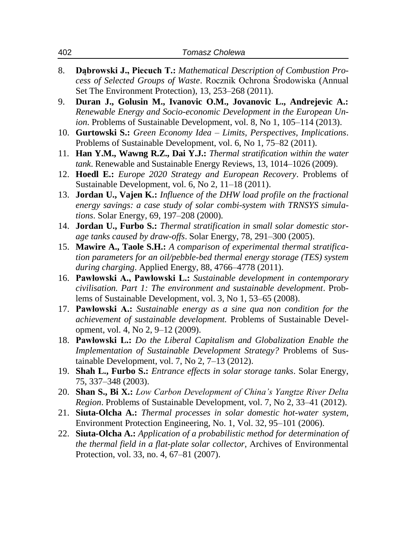- 8. **Dąbrowski J., Piecuch T.:** *Mathematical Description of Combustion Process of Selected Groups of Waste*. Rocznik Ochrona Środowiska (Annual Set The Environment Protection), 13, 253–268 (2011).
- 9. **Duran J., Golusin M., Ivanovic O.M., Jovanovic L., Andrejevic A.:** *Renewable Energy and Socio-economic Development in the European Union*. Problems of Sustainable Development, vol. 8, No 1, 105–114 (2013).
- 10. **Gurtowski S.:** *Green Economy Idea – Limits, Perspectives, Implications*. Problems of Sustainable Development, vol. 6, No 1, 75–82 (2011).
- 11. **Han Y.M., Wawng R.Z., Dai Y.J.:** *Thermal stratification within the water tank*. Renewable and Sustainable Energy Reviews, 13, 1014–1026 (2009).
- 12. **Hoedl E.:** *Europe 2020 Strategy and European Recovery*. Problems of Sustainable Development, vol. 6, No 2, 11–18 (2011).
- 13. **Jordan U., Vajen K.:** *Influence of the DHW load profile on the fractional energy savings: a case study of solar combi-system with TRNSYS simulations*. Solar Energy, 69, 197–208 (2000).
- 14. **Jordan U., Furbo S.:** *Thermal stratification in small solar domestic storage tanks caused by draw-offs*. Solar Energy, 78, 291–300 (2005).
- 15. **Mawire A., Taole S.H.:** *A comparison of experimental thermal stratification parameters for an oil/pebble-bed thermal energy storage (TES) system during charging*. Applied Energy, 88, 4766–4778 (2011).
- 16. **Pawłowski A., Pawłowski L.:** *Sustainable development in contemporary civilisation. Part 1: The environment and sustainable development*. Problems of Sustainable Development, vol. 3, No 1, 53–65 (2008).
- 17. **Pawłowski A.:** *Sustainable energy as a sine qua non condition for the achievement of sustainable development.* Problems of Sustainable Development, vol. 4, No 2, 9–12 (2009).
- 18. **Pawłowski L.:** *Do the Liberal Capitalism and Globalization Enable the Implementation of Sustainable Development Strategy?* Problems of Sustainable Development, vol. 7, No 2, 7–13 (2012).
- 19. **Shah L., Furbo S.:** *Entrance effects in solar storage tanks*. Solar Energy, 75, 337–348 (2003).
- 20. **Shan S., Bi X.:** *Low Carbon Development of China's Yangtze River Delta Region*. Problems of Sustainable Development, vol. 7, No 2, 33–41 (2012).
- 21. **Siuta-Olcha A.:** *Thermal processes in solar domestic hot-water system*, Environment Protection Engineering, No. 1, Vol. 32, 95–101 (2006).
- 22. **Siuta-Olcha A.:** *Application of a probabilistic method for determination of the thermal field in a flat-plate solar collector*, Archives of Environmental Protection, vol. 33, no. 4, 67–81 (2007).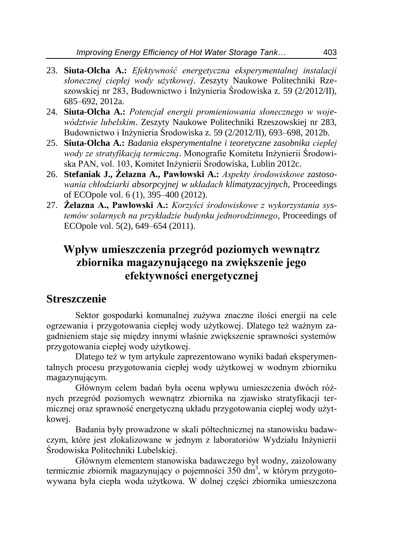- 23. **Siuta-Olcha A.:** *Efektywność energetyczna eksperymentalnej instalacji słonecznej ciepłej wody użytkowej*. Zeszyty Naukowe Politechniki Rzeszowskiej nr 283, Budownictwo i Inżynieria Środowiska z. 59 (2/2012/II), 685–692, 2012a.
- 24. **Siuta-Olcha A.:** *Potencjał energii promieniowania słonecznego w województwie lubelskim*. Zeszyty Naukowe Politechniki Rzeszowskiej nr 283, Budownictwo i Inżynieria Środowiska z. 59 (2/2012/II), 693–698, 2012b.
- 25. **Siuta-Olcha A.:** *Badania eksperymentalne i teoretyczne zasobnika ciepłej wody ze stratyfikacją termiczną*. Monografie Komitetu Inżynierii Środowiska PAN, vol. 103, Komitet Inżynierii Środowiska, Lublin 2012c.
- 26. **Stefaniak J., Żelazna A., Pawłowski A.:** *Aspekty środowiskowe zastosowania chłodziarki absorpcyjnej w układach klimatyzacyjnych*, Proceedings of ECOpole vol. 6 (1), 395–400 (2012).
- 27. **Żelazna A., Pawłowski A.:** *Korzyści środowiskowe z wykorzystania systemów solarnych na przykładzie budynku jednorodzinnego*, Proceedings of ECOpole vol. 5(2), 649–654 (2011).

# **Wpływ umieszczenia przegród poziomych wewnątrz zbiornika magazynującego na zwiększenie jego efektywności energetycznej**

#### **Streszczenie**

Sektor gospodarki komunalnej zużywa znaczne ilości energii na cele ogrzewania i przygotowania ciepłej wody użytkowej. Dlatego też ważnym zagadnieniem staje się między innymi właśnie zwiększenie sprawności systemów przygotowania ciepłej wody użytkowej.

Dlatego też w tym artykule zaprezentowano wyniki badań eksperymentalnych procesu przygotowania ciepłej wody użytkowej w wodnym zbiorniku magazynującym.

Głównym celem badań była ocena wpływu umieszczenia dwóch różnych przegród poziomych wewnątrz zbiornika na zjawisko stratyfikacji termicznej oraz sprawność energetyczną układu przygotowania ciepłej wody użytkowej.

Badania były prowadzone w skali półtechnicznej na stanowisku badawczym, które jest zlokalizowane w jednym z laboratoriów Wydziału Inżynierii Środowiska Politechniki Lubelskiej.

Głównym elementem stanowiska badawczego był wodny, zaizolowany termicznie zbiornik magazynujący o pojemności 350 dm<sup>3</sup>, w którym przygotowywana była ciepła woda użytkowa. W dolnej części zbiornika umieszczona